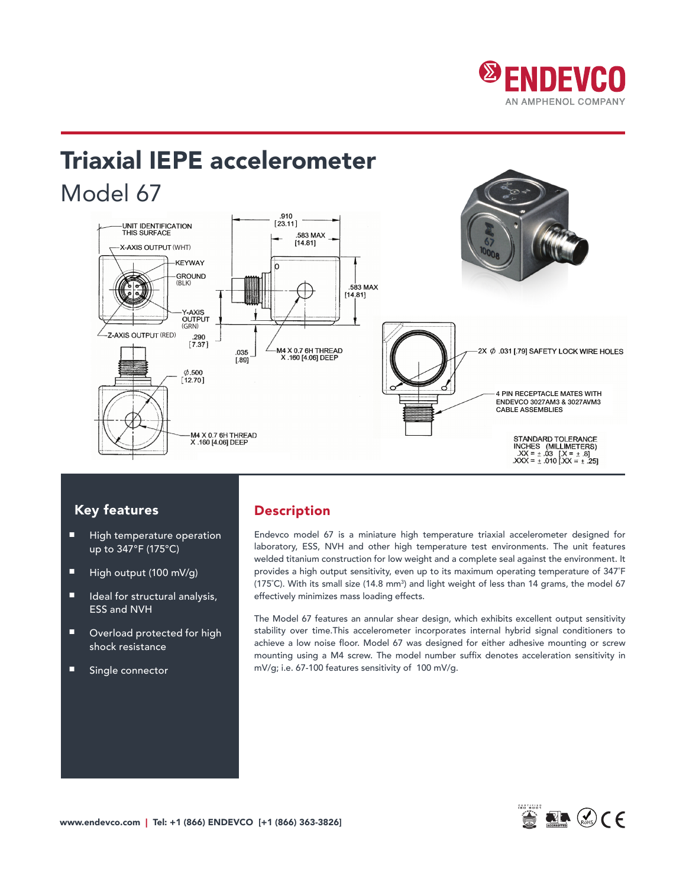

# Triaxial IEPE accelerometer Model 67



## Key features

- High temperature operation up to 347°F (175°C)
- High output (100 mV/g)
- Ideal for structural analysis, ESS and NVH
- Overload protected for high shock resistance
- Single connector

## Description

Endevco model 67 is a miniature high temperature triaxial accelerometer designed for laboratory, ESS, NVH and other high temperature test environments. The unit features welded titanium construction for low weight and a complete seal against the environment. It provides a high output sensitivity, even up to its maximum operating temperature of 347˚F (175°C). With its small size (14.8 mm3) and light weight of less than 14 grams, the model 67 effectively minimizes mass loading effects.

The Model 67 features an annular shear design, which exhibits excellent output sensitivity stability over time.This accelerometer incorporates internal hybrid signal conditioners to achieve a low noise floor. Model 67 was designed for either adhesive mounting or screw mounting using a M4 screw. The model number suffix denotes acceleration sensitivity in mV/g; i.e. 67-100 features sensitivity of 100 mV/g.

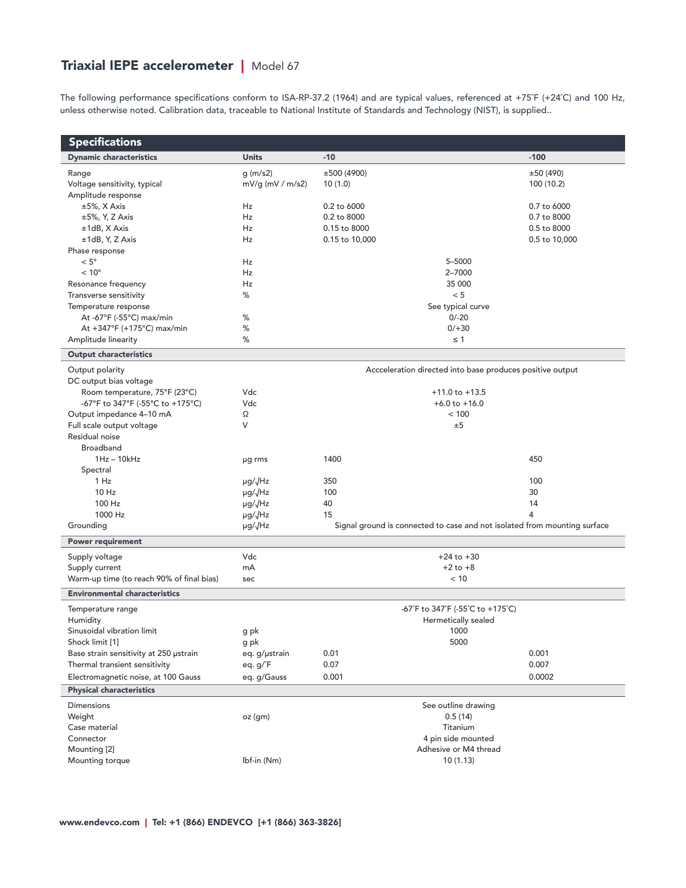## Triaxial IEPE accelerometer | Model 67

The following performance specifications conform to ISA-RP-37.2 (1964) and are typical values, referenced at +75˚F (+24˚C) and 100 Hz, unless otherwise noted. Calibration data, traceable to National Institute of Standards and Technology (NIST), is supplied..

| <b>Specifications</b>                                   |                    |                                                                           |               |  |
|---------------------------------------------------------|--------------------|---------------------------------------------------------------------------|---------------|--|
| <b>Dynamic characteristics</b>                          | <b>Units</b>       | $-10$                                                                     | $-100$        |  |
| Range                                                   | q(m/s2)            | ±500(4900)                                                                | ±50(490)      |  |
| Voltage sensitivity, typical                            | $mV/g$ (mV / m/s2) | 10(1.0)                                                                   | 100 (10.2)    |  |
| Amplitude response                                      |                    |                                                                           |               |  |
| ±5%, X Axis                                             | Hz                 | 0.2 to 6000                                                               | 0.7 to 6000   |  |
| $\pm 5\%$ , Y, Z Axis                                   | <b>Hz</b>          | 0.2 to 8000                                                               | 0.7 to 8000   |  |
| $±1dB$ , X Axis                                         | Hz                 | 0.15 to 8000                                                              | 0.5 to 8000   |  |
| ±1dB, Y, Z Axis                                         | Hz                 | 0.15 to 10,000                                                            | 0.5 to 10,000 |  |
| Phase response                                          |                    |                                                                           |               |  |
| $< 5^{\circ}$                                           | Hz                 | 5-5000                                                                    |               |  |
| $< 10^{\circ}$                                          | Hz                 | 2-7000                                                                    |               |  |
| Resonance frequency                                     | Hz                 | 35 000                                                                    |               |  |
| Transverse sensitivity                                  | %                  | < 5                                                                       |               |  |
| Temperature response                                    | %                  | See typical curve                                                         |               |  |
| At -67°F (-55°C) max/min<br>At +347°F (+175°C) max/min  | %                  | $0/-20$<br>$0/+30$                                                        |               |  |
| Amplitude linearity                                     | %                  | $\leq 1$                                                                  |               |  |
| <b>Output characteristics</b>                           |                    |                                                                           |               |  |
|                                                         |                    |                                                                           |               |  |
| Output polarity                                         |                    | Accceleration directed into base produces positive output                 |               |  |
| DC output bias voltage<br>Room temperature, 75°F (23°C) | Vdc                | $+11.0$ to $+13.5$                                                        |               |  |
| -67°F to 347°F (-55°C to +175°C)                        | Vdc                | $+6.0$ to $+16.0$                                                         |               |  |
| Output impedance 4-10 mA                                | Ω                  | < 100                                                                     |               |  |
| Full scale output voltage                               | V                  | ±5                                                                        |               |  |
| Residual noise                                          |                    |                                                                           |               |  |
| Broadband                                               |                    |                                                                           |               |  |
| $1Hz - 10kHz$                                           | µg rms             | 1400                                                                      | 450           |  |
| Spectral                                                |                    |                                                                           |               |  |
| 1 Hz                                                    | µg/√Hz             | 350                                                                       | 100           |  |
| 10 Hz                                                   | µg/JHz             | 100                                                                       | 30            |  |
| 100 Hz                                                  | µg/JHz             | 40                                                                        | 14            |  |
| 1000 Hz                                                 | µg/√Hz             | 15                                                                        | 4             |  |
| Grounding                                               | µg/√Hz             | Signal ground is connected to case and not isolated from mounting surface |               |  |
| <b>Power requirement</b>                                |                    |                                                                           |               |  |
| Supply voltage                                          | Vdc                | $+24$ to $+30$                                                            |               |  |
| Supply current                                          | mA                 | $+2$ to $+8$                                                              |               |  |
| Warm-up time (to reach 90% of final bias)               | sec                | < 10                                                                      |               |  |
| <b>Environmental characteristics</b>                    |                    |                                                                           |               |  |
| Temperature range                                       |                    | -67°F to 347°F (-55°C to +175°C)                                          |               |  |
| Humidity                                                |                    | Hermetically sealed                                                       |               |  |
| Sinusoidal vibration limit                              | g pk               | 1000                                                                      |               |  |
| Shock limit [1]                                         | g pk               | 5000                                                                      |               |  |
| Base strain sensitivity at 250 ustrain                  | eq. g/µstrain      | 0.01                                                                      | 0.001         |  |
| Thermal transient sensitivity                           | eq. g/°F           | 0.07                                                                      | 0.007         |  |
| Electromagnetic noise, at 100 Gauss                     | eq. g/Gauss        | 0.001                                                                     | 0.0002        |  |
| <b>Physical characteristics</b>                         |                    |                                                                           |               |  |
| <b>Dimensions</b>                                       |                    | See outline drawing                                                       |               |  |
| Weight                                                  | oz (gm)            | 0.5(14)                                                                   |               |  |
| Case material                                           |                    | Titanium                                                                  |               |  |
| Connector                                               |                    | 4 pin side mounted                                                        |               |  |
| Mounting [2]                                            |                    | Adhesive or M4 thread                                                     |               |  |
| Mounting torque                                         | Ibf-in (Nm)        | 10(1.13)                                                                  |               |  |